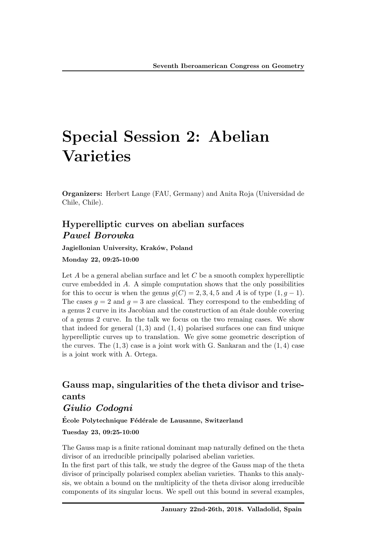# Special Session 2: Abelian Varieties

Organizers: Herbert Lange (FAU, Germany) and Anita Roja (Universidad de Chile, Chile).

## Hyperelliptic curves on abelian surfaces *Pawel Borowka*

Jagiellonian University, Kraków, Poland

#### Monday 22, 09:25-10:00

Let *A* be a general abelian surface and let *C* be a smooth complex hyperelliptic curve embedded in *A*. A simple computation shows that the only possibilities for this to occur is when the genus  $g(C)=2, 3, 4, 5$  and A is of type  $(1, g-1)$ . The cases  $q = 2$  and  $q = 3$  are classical. They correspond to the embedding of a genus 2 curve in its Jacobian and the construction of an étale double covering of a genus 2 curve. In the talk we focus on the two remaing cases. We show that indeed for general  $(1,3)$  and  $(1,4)$  polarised surfaces one can find unique hyperelliptic curves up to translation. We give some geometric description of the curves. The (1*,* 3) case is a joint work with G. Sankaran and the (1*,* 4) case is a joint work with A. Ortega.

## Gauss map, singularities of the theta divisor and trisecants

### *Giulio Codogni*

École Polytechnique Fédérale de Lausanne, Switzerland

Tuesday 23, 09:25-10:00

The Gauss map is a finite rational dominant map naturally defined on the theta divisor of an irreducible principally polarised abelian varieties.

In the first part of this talk, we study the degree of the Gauss map of the theta divisor of principally polarised complex abelian varieties. Thanks to this analysis, we obtain a bound on the multiplicity of the theta divisor along irreducible components of its singular locus. We spell out this bound in several examples,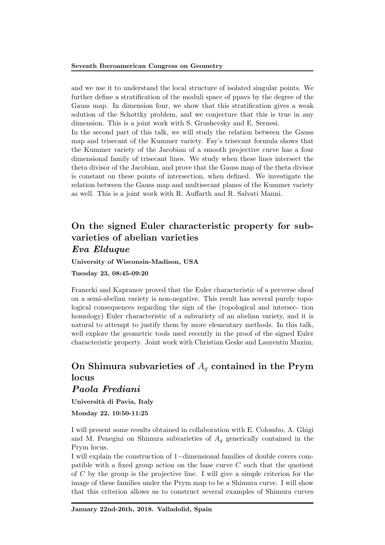and we use it to understand the local structure of isolated singular points. We further define a stratification of the moduli space of ppavs by the degree of the Gauss map. In dimension four, we show that this stratification gives a weak solution of the Schottky problem, and we conjecture that this is true in any dimension. This is a joint work with S. Grushevsky and E. Sernesi.

In the second part of this talk, we will study the relation between the Gauss map and trisecant of the Kummer variety. Fay's trisecant formula shows that the Kummer variety of the Jacobian of a smooth projective curve has a four dimensional family of trisecant lines. We study when these lines intersect the theta divisor of the Jacobian, and prove that the Gauss map of the theta divisor is constant on these points of intersection, when defined. We investigate the relation between the Gauss map and multisecant planes of the Kummer variety as well. This is a joint work with R. Auffarth and R. Salvati Manni.

## On the signed Euler characteristic property for subvarieties of abelian varieties *Eva Elduque*

University of Wisconsin-Madison, USA

Tuesday 23, 08:45-09:20

Franecki and Kapranov proved that the Euler characteristic of a perverse sheaf on a semi-abelian variety is non-negative. This result has several purely topological consequences regarding the sign of the (topological and intersec- tion homology) Euler characteristic of a subvariety of an abelian variety, and it is natural to attempt to justify them by more elementary methods. In this talk, well explore the geometric tools used recently in the proof of the signed Euler characteristic property. Joint work with Christian Geske and Laurentiu Maxim.

## On Shimura subvarieties of *A<sup>g</sup>* contained in the Prym locus

## *Paola Frediani*

Università di Pavia, Italy

Monday 22, 10:50-11:25

I will present some results obtained in collaboration with E. Colombo, A. Ghigi and M. Penegini on Shimura subvarieties of  $A_q$  generically contained in the Prym locus.

I will explain the construction of  $1$ -dimensional families of double covers compatible with a fixed group action on the base curve *C* such that the quotient of *C* by the group is the projective line. I will give a simple criterion for the image of these families under the Prym map to be a Shimura curve. I will show that this criterion allows us to construct several examples of Shimura curves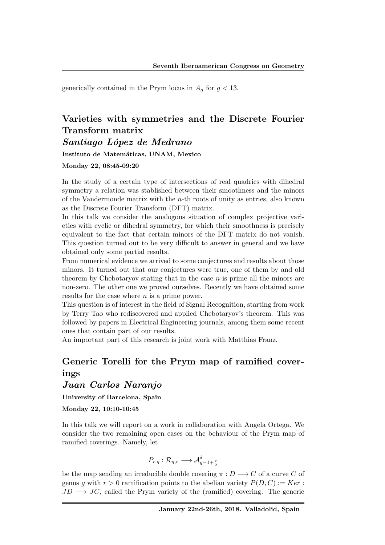generically contained in the Prym locus in  $A_q$  for  $q < 13$ .

# Varieties with symmetries and the Discrete Fourier Transform matrix

*Santiago L´opez de Medrano*

Instituto de Matemáticas, UNAM, Mexico

Monday 22, 08:45-09:20

In the study of a certain type of intersections of real quadrics with dihedral symmetry a relation was stablished between their smoothness and the minors of the Vandermonde matrix with the *n*-th roots of unity as entries, also known as the Discrete Fourier Transform (DFT) matrix.

In this talk we consider the analogous situation of complex projective varieties with cyclic or dihedral symmetry, for which their smoothness is precisely equivalent to the fact that certain minors of the DFT matrix do not vanish. This question turned out to be very difficult to answer in general and we have obtained only some partial results.

From numerical evidence we arrived to some conjectures and results about those minors. It turned out that our conjectures were true, one of them by and old theorem by Chebotaryov stating that in the case *n* is prime all the minors are non-zero. The other one we proved ourselves. Recently we have obtained some results for the case where *n* is a prime power.

This question is of interest in the field of Signal Recognition, starting from work by Terry Tao who rediscovered and applied Chebotaryov's theorem. This was followed by papers in Electrical Engineering journals, among them some recent ones that contain part of our results.

An important part of this research is joint work with Matthias Franz.

## Generic Torelli for the Prym map of ramified coverings

*Juan Carlos Naranjo*

University of Barcelona, Spain

Monday 22, 10:10-10:45

In this talk we will report on a work in collaboration with Angela Ortega. We consider the two remaining open cases on the behaviour of the Prym map of ramified coverings. Namely, let

$$
P_{r,g}: \mathcal{R}_{g,r} \longrightarrow \mathcal{A}_{g-1+\frac{r}{2}}^{\delta}
$$

be the map sending an irreducible double covering  $\pi : D \longrightarrow C$  of a curve *C* of genus *g* with  $r > 0$  ramification points to the abelian variety  $P(D, C) := Ker$ :  $JD \rightarrow JC$ , called the Prym variety of the (ramified) covering. The generic